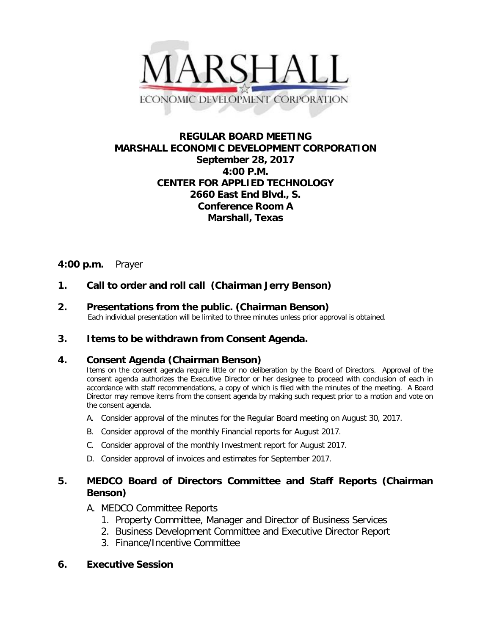

# **REGULAR BOARD MEETING MARSHALL ECONOMIC DEVELOPMENT CORPORATION September 28, 2017 4:00 P.M. CENTER FOR APPLIED TECHNOLOGY 2660 East End Blvd., S. Conference Room A Marshall, Texas**

# **4:00 p.m.** Prayer

# **1. Call to order and roll call (Chairman Jerry Benson)**

**2. Presentations from the public. (Chairman Benson)**<br>Each individual presentation will be limited to three minutes unless prior approval is obtained.

### **3. Items to be withdrawn from Consent Agenda.**

### **4. Consent Agenda (Chairman Benson)**

Items on the consent agenda require little or no deliberation by the Board of Directors. Approval of the consent agenda authorizes the Executive Director or her designee to proceed with conclusion of each in accordance with staff recommendations, a copy of which is filed with the minutes of the meeting. A Board Director may remove items from the consent agenda by making such request prior to a motion and vote on the consent agenda.

- A. Consider approval of the minutes for the Regular Board meeting on August 30, 2017.
- B. Consider approval of the monthly Financial reports for August 2017.
- C. Consider approval of the monthly Investment report for August 2017.
- D. Consider approval of invoices and estimates for September 2017.

### **5. MEDCO Board of Directors Committee and Staff Reports (Chairman Benson)**

### A. MEDCO Committee Reports

- 1. Property Committee, Manager and Director of Business Services
- 2. Business Development Committee and Executive Director Report
- 3. Finance/Incentive Committee

### **6. Executive Session**